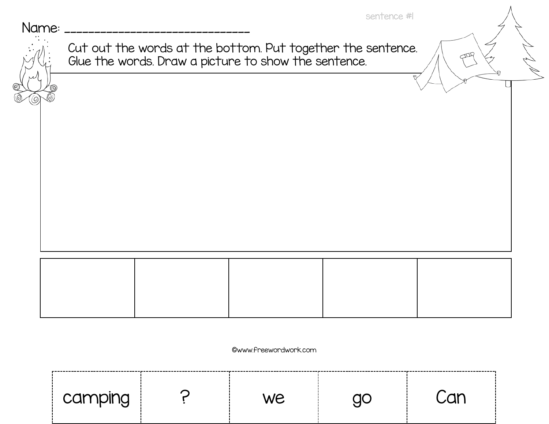Name:

| $\mathbf{X}$<br>. . |  |  |  |  |
|---------------------|--|--|--|--|
|---------------------|--|--|--|--|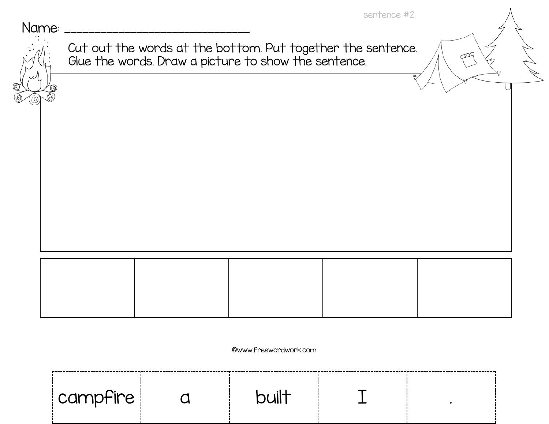Name:

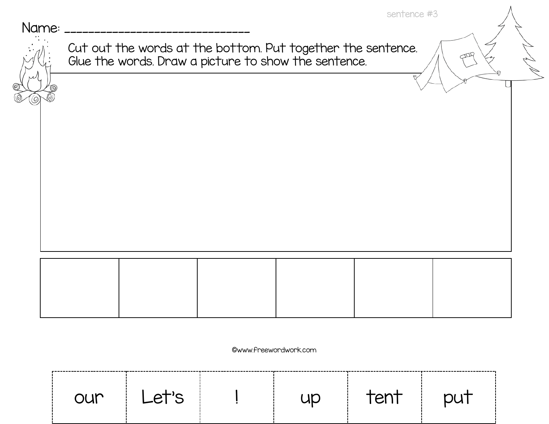Name:

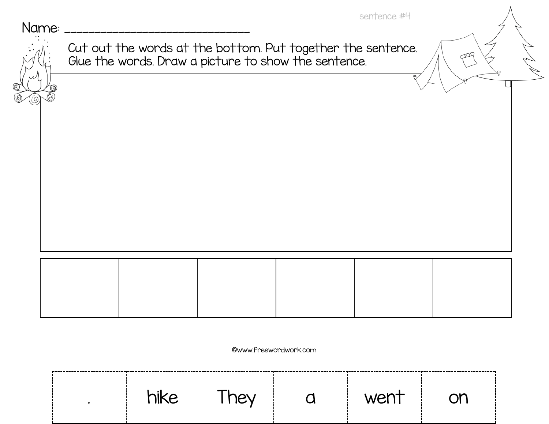Name:

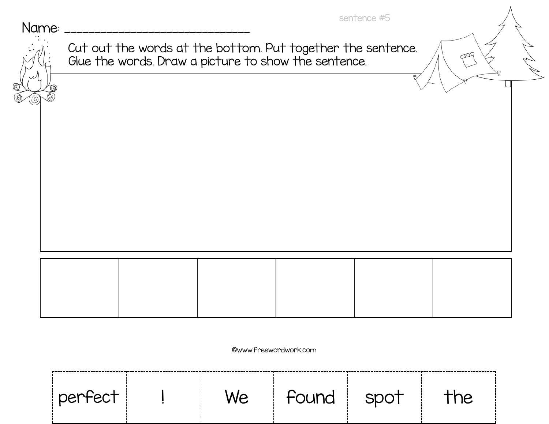Name:

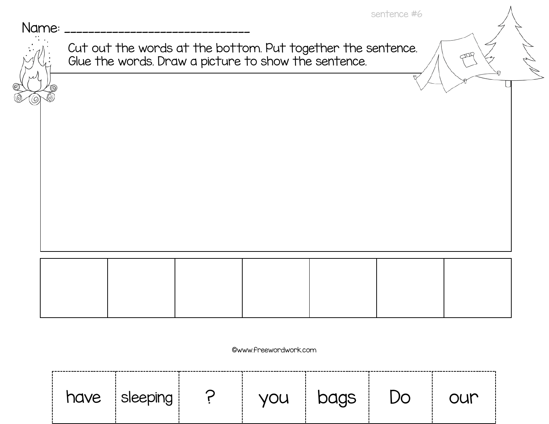Name:

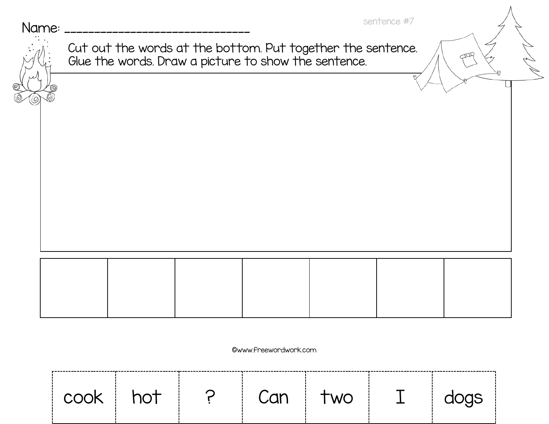Name: